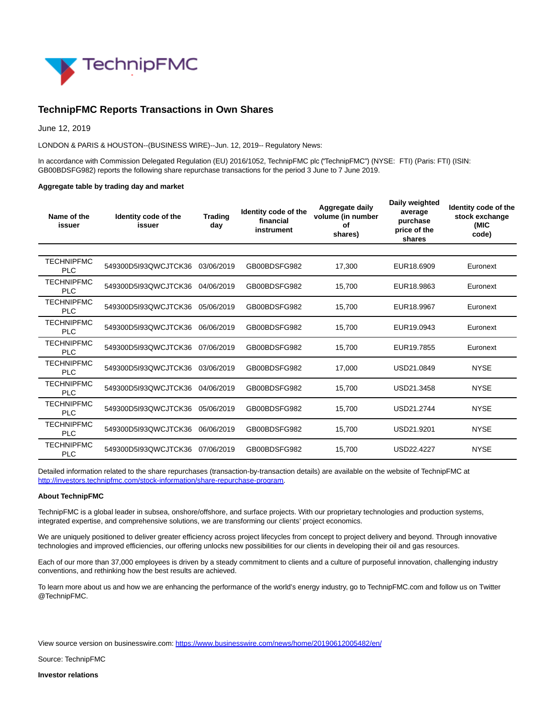

## **TechnipFMC Reports Transactions in Own Shares**

June 12, 2019

LONDON & PARIS & HOUSTON--(BUSINESS WIRE)--Jun. 12, 2019-- Regulatory News:

In accordance with Commission Delegated Regulation (EU) 2016/1052, TechnipFMC plc ("TechnipFMC") (NYSE: FTI) (Paris: FTI) (ISIN: GB00BDSFG982) reports the following share repurchase transactions for the period 3 June to 7 June 2019.

## **Aggregate table by trading day and market**

| Name of the<br>issuer           | Identity code of the<br>issuer | <b>Trading</b><br>day | Identity code of the<br>financial<br>instrument | Aggregate daily<br>volume (in number<br>οf<br>shares) | Daily weighted<br>average<br>purchase<br>price of the<br>shares | Identity code of the<br>stock exchange<br>(MIC<br>code) |
|---------------------------------|--------------------------------|-----------------------|-------------------------------------------------|-------------------------------------------------------|-----------------------------------------------------------------|---------------------------------------------------------|
|                                 |                                |                       |                                                 |                                                       |                                                                 |                                                         |
| <b>TECHNIPFMC</b><br><b>PLC</b> | 549300D5I93QWCJTCK36           | 03/06/2019            | GB00BDSFG982                                    | 17,300                                                | EUR18,6909                                                      | Euronext                                                |
| <b>TECHNIPFMC</b><br><b>PLC</b> | 549300D5I93QWCJTCK36           | 04/06/2019            | GB00BDSFG982                                    | 15,700                                                | EUR18,9863                                                      | Euronext                                                |
| <b>TECHNIPFMC</b><br><b>PLC</b> | 549300D5I93QWCJTCK36           | 05/06/2019            | GB00BDSFG982                                    | 15,700                                                | EUR18,9967                                                      | Euronext                                                |
| TECHNIPFMC<br><b>PLC</b>        | 549300D5I93QWCJTCK36           | 06/06/2019            | GB00BDSFG982                                    | 15,700                                                | EUR19.0943                                                      | Euronext                                                |
| <b>TECHNIPFMC</b><br><b>PLC</b> | 549300D5I93QWCJTCK36           | 07/06/2019            | GB00BDSFG982                                    | 15.700                                                | EUR19.7855                                                      | Euronext                                                |
| <b>TECHNIPFMC</b><br><b>PLC</b> | 549300D5I93QWCJTCK36           | 03/06/2019            | GB00BDSFG982                                    | 17.000                                                | USD21.0849                                                      | <b>NYSE</b>                                             |
| <b>TECHNIPFMC</b><br><b>PLC</b> | 549300D5I93QWCJTCK36           | 04/06/2019            | GB00BDSFG982                                    | 15.700                                                | USD21,3458                                                      | <b>NYSE</b>                                             |
| <b>TECHNIPFMC</b><br><b>PLC</b> | 549300D5I93QWCJTCK36           | 05/06/2019            | GB00BDSFG982                                    | 15,700                                                | USD21.2744                                                      | <b>NYSE</b>                                             |
| <b>TECHNIPFMC</b><br><b>PLC</b> | 549300D5I93QWCJTCK36           | 06/06/2019            | GB00BDSFG982                                    | 15,700                                                | USD21.9201                                                      | <b>NYSE</b>                                             |
| <b>TECHNIPFMC</b><br><b>PLC</b> | 549300D5I93QWCJTCK36           | 07/06/2019            | GB00BDSFG982                                    | 15,700                                                | USD22.4227                                                      | <b>NYSE</b>                                             |

Detailed information related to the share repurchases (transaction-by-transaction details) are available on the website of TechnipFMC at [http://investors.technipfmc.com/stock-information/share-repurchase-program.](https://cts.businesswire.com/ct/CT?id=smartlink&url=http%3A%2F%2Finvestors.technipfmc.com%2Fstock-information%2Fshare-repurchase-program&esheet=51998377&newsitemid=20190612005482&lan=en-US&anchor=http%3A%2F%2Finvestors.technipfmc.com%2Fstock-information%2Fshare-repurchase-program&index=1&md5=9a08483e49da9644a4518892be075abf)

## **About TechnipFMC**

TechnipFMC is a global leader in subsea, onshore/offshore, and surface projects. With our proprietary technologies and production systems, integrated expertise, and comprehensive solutions, we are transforming our clients' project economics.

We are uniquely positioned to deliver greater efficiency across project lifecycles from concept to project delivery and beyond. Through innovative technologies and improved efficiencies, our offering unlocks new possibilities for our clients in developing their oil and gas resources.

Each of our more than 37,000 employees is driven by a steady commitment to clients and a culture of purposeful innovation, challenging industry conventions, and rethinking how the best results are achieved.

To learn more about us and how we are enhancing the performance of the world's energy industry, go to TechnipFMC.com and follow us on Twitter @TechnipFMC.

View source version on businesswire.com:<https://www.businesswire.com/news/home/20190612005482/en/>

Source: TechnipFMC